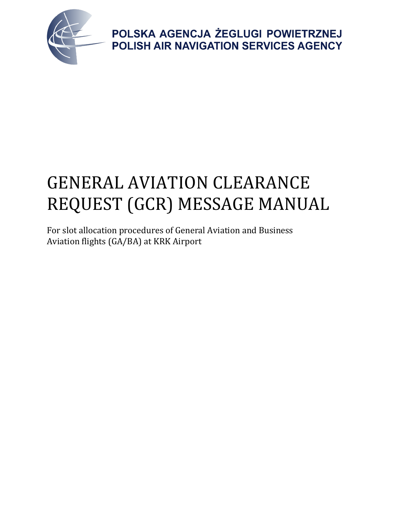

# GENERAL AVIATION CLEARANCE REQUEST (GCR) MESSAGE MANUAL

For slot allocation procedures of General Aviation and Business Aviation flights (GA/BA) at KRK Airport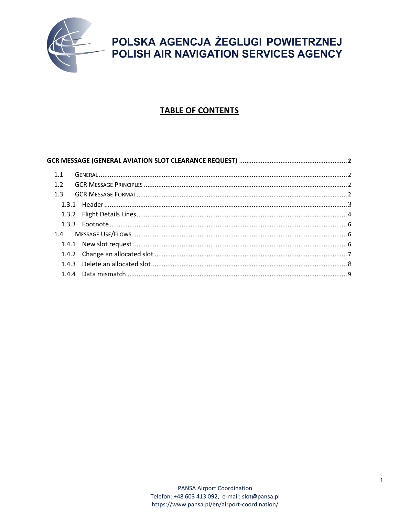

### **TABLE OF CONTENTS**

|     | GCR MESSAGE (GENERAL AVIATION SLOT CLEARANCE REQUEST) ……………………………………………………………………2 |  |
|-----|-----------------------------------------------------------------------------------|--|
| 1.1 |                                                                                   |  |
| 1.2 |                                                                                   |  |
| 1.3 |                                                                                   |  |
|     |                                                                                   |  |
|     |                                                                                   |  |
|     |                                                                                   |  |
|     |                                                                                   |  |
|     |                                                                                   |  |
|     |                                                                                   |  |
|     |                                                                                   |  |
|     |                                                                                   |  |
|     |                                                                                   |  |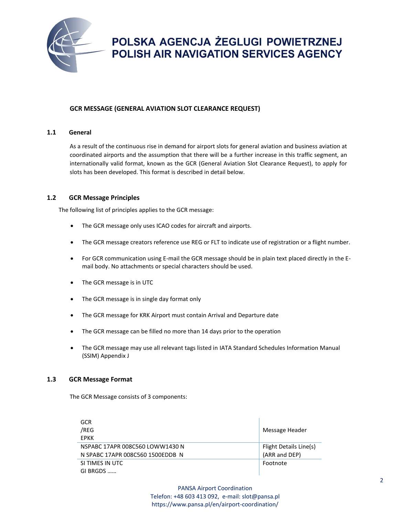

#### **GCR MESSAGE (GENERAL AVIATION SLOT CLEARANCE REQUEST)**

#### **1.1 General**

As a result of the continuous rise in demand for airport slots for general aviation and business aviation at coordinated airports and the assumption that there will be a further increase in this traffic segment, an internationally valid format, known as the GCR (General Aviation Slot Clearance Request), to apply for slots has been developed. This format is described in detail below.

#### **1.2 GCR Message Principles**

The following list of principles applies to the GCR message:

- The GCR message only uses ICAO codes for aircraft and airports.
- The GCR message creators reference use REG or FLT to indicate use of registration or a flight number.
- For GCR communication using E-mail the GCR message should be in plain text placed directly in the Email body. No attachments or special characters should be used.
- The GCR message is in UTC
- The GCR message is in single day format only
- The GCR message for KRK Airport must contain Arrival and Departure date
- The GCR message can be filled no more than 14 days prior to the operation
- The GCR message may use all relevant tags listed in IATA Standard Schedules Information Manual (SSIM) Appendix J

#### **1.3 GCR Message Format**

The GCR Message consists of 3 components:

| GCR<br>/REG<br><b>FPKK</b>       | Message Header         |
|----------------------------------|------------------------|
| NSPABC 17APR 008C560 LOWW1430 N  | Flight Details Line(s) |
| N SPABC 17APR 008C560 1500EDDB N | (ARR and DEP)          |
| SI TIMES IN UTC                  | Footnote               |
| GI BRGDS                         |                        |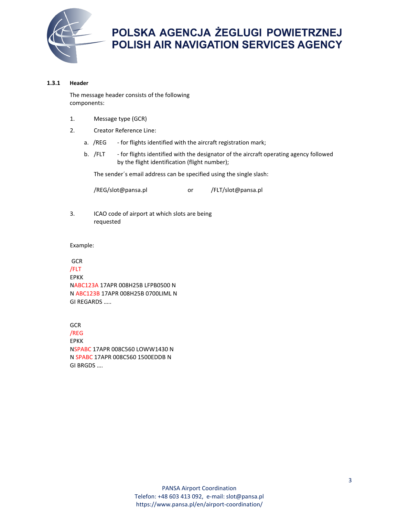

#### **1.3.1 Header**

The message header consists of the following components:

- 1. Message type (GCR)
- 2. Creator Reference Line:
	- a. /REG for flights identified with the aircraft registration mark;
	- b. /FLT for flights identified with the designator of the aircraft operating agency followed by the flight identification (flight number);

The sender´s email address can be specified using the single slash:

/REG/slot@pansa.pl or /FLT/slot@pansa.pl

3. ICAO code of airport at which slots are being requested

Example:

GCR /FLT EPKK NABC123A 17APR 008H25B LFPB0500 N N ABC123B 17APR 008H25B 0700LIML N GI REGARDS …..

**GCR** /REG EPKK NSPABC 17APR 008C560 LOWW1430 N N SPABC 17APR 008C560 1500EDDB N GI BRGDS ….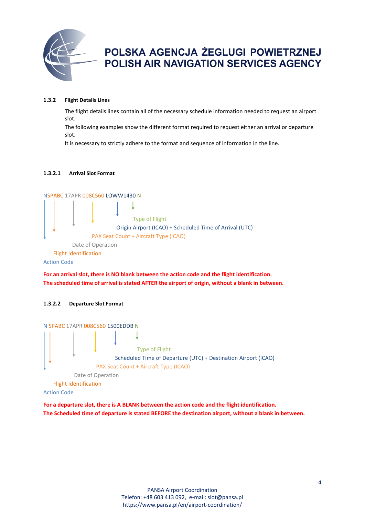

#### **1.3.2 Flight Details Lines**

The flight details lines contain all of the necessary schedule information needed to request an airport slot.

The following examples show the different format required to request either an arrival or departure slot.

It is necessary to strictly adhere to the format and sequence of information in the line.

#### **1.3.2.1 Arrival Slot Format**



Action Code

**For an arrival slot, there is NO blank between the action code and the flight identification. The scheduled time of arrival is stated AFTER the airport of origin, without a blank in between.**

#### **1.3.2.2 Departure Slot Format**



**For a departure slot, there is A BLANK between the action code and the flight identification. The Scheduled time of departure is stated BEFORE the destination airport, without a blank in between.**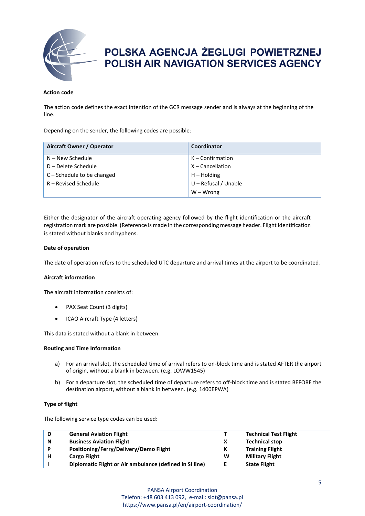

#### **Action code**

The action code defines the exact intention of the GCR message sender and is always at the beginning of the line.

Depending on the sender, the following codes are possible:

| Aircraft Owner / Operator    | Coordinator          |  |
|------------------------------|----------------------|--|
| N – New Schedule             | $K -$ Confirmation   |  |
| D – Delete Schedule          | X – Cancellation     |  |
| $C -$ Schedule to be changed | $H -$ Holding        |  |
| R – Revised Schedule         | U - Refusal / Unable |  |
|                              | $W - W$ rong         |  |

Either the designator of the aircraft operating agency followed by the flight identification or the aircraft registration mark are possible. (Reference is made in the corresponding message header. Flight Identification is stated without blanks and hyphens.

#### **Date of operation**

The date of operation refers to the scheduled UTC departure and arrival times at the airport to be coordinated.

#### **Aircraft information**

The aircraft information consists of:

- PAX Seat Count (3 digits)
- ICAO Aircraft Type (4 letters)

This data is stated without a blank in between.

#### **Routing and Time Information**

- a) For an arrival slot, the scheduled time of arrival refers to on-block time and is stated AFTER the airport of origin, without a blank in between. (e.g. LOWW1545)
- b) For a departure slot, the scheduled time of departure refers to off-block time and is stated BEFORE the destination airport, without a blank in between. (e.g. 1400EPWA)

#### **Type of flight**

The following service type codes can be used:

| D | <b>General Aviation Flight</b>                          |   | <b>Technical Test Flight</b> |
|---|---------------------------------------------------------|---|------------------------------|
| N | <b>Business Aviation Flight</b>                         |   | <b>Technical stop</b>        |
| P | Positioning/Ferry/Delivery/Demo Flight                  |   | <b>Training Flight</b>       |
| н | <b>Cargo Flight</b>                                     | W | <b>Military Flight</b>       |
|   | Diplomatic Flight or Air ambulance (defined in SI line) |   | <b>State Flight</b>          |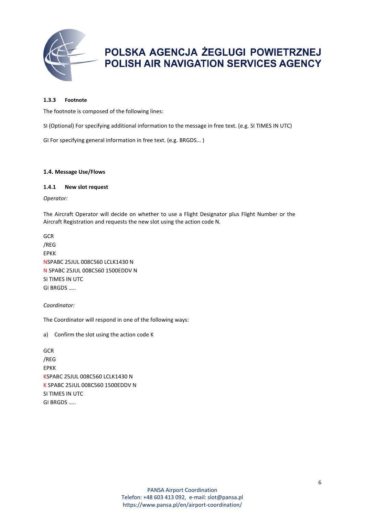

#### **1.3.3 Footnote**

The footnote is composed of the following lines:

SI (Optional) For specifying additional information to the message in free text. (e.g. SI TIMES IN UTC)

GI For specifying general information in free text. (e.g. BRGDS... )

#### **1.4. Message Use/Flows**

#### **1.4.1 New slot request**

*Operator:*

The Aircraft Operator will decide on whether to use a Flight Designator plus Flight Number or the Aircraft Registration and requests the new slot using the action code N.

GCR /REG EPKK NSPABC 25JUL 008C560 LCLK1430 N N SPABC 25JUL 008C560 1500EDDV N SI TIMES IN UTC GI BRGDS …..

*Coordinator:*

The Coordinator will respond in one of the following ways:

a) Confirm the slot using the action code K

GCR /REG EPKK KSPABC 25JUL 008C560 LCLK1430 N K SPABC 25JUL 008C560 1500EDDV N SI TIMES IN UTC GI BRGDS …..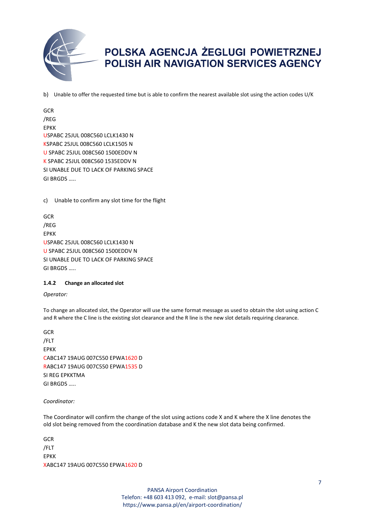

b) Unable to offer the requested time but is able to confirm the nearest available slot using the action codes U/K

**GCR** /REG EPKK USPABC 25JUL 008C560 LCLK1430 N KSPABC 25JUL 008C560 LCLK1505 N U SPABC 25JUL 008C560 1500EDDV N K SPABC 25JUL 008C560 1535EDDV N SI UNABLE DUE TO LACK OF PARKING SPACE GI BRGDS …..

c) Unable to confirm any slot time for the flight

**GCR** /REG EPKK USPABC 25JUL 008C560 LCLK1430 N U SPABC 25JUL 008C560 1500EDDV N SI UNABLE DUE TO LACK OF PARKING SPACE GI BRGDS …..

#### **1.4.2 Change an allocated slot**

*Operator:*

To change an allocated slot, the Operator will use the same format message as used to obtain the slot using action C and R where the C line is the existing slot clearance and the R line is the new slot details requiring clearance.

GCR /FLT EPKK CABC147 19AUG 007C550 EPWA1620 D RABC147 19AUG 007C550 EPWA1535 D SI REG EPKKTMA GI BRGDS …..

#### *Coordinator:*

The Coordinator will confirm the change of the slot using actions code X and K where the X line denotes the old slot being removed from the coordination database and K the new slot data being confirmed.

**GCR** /FLT EPKK XABC147 19AUG 007C550 EPWA1620 D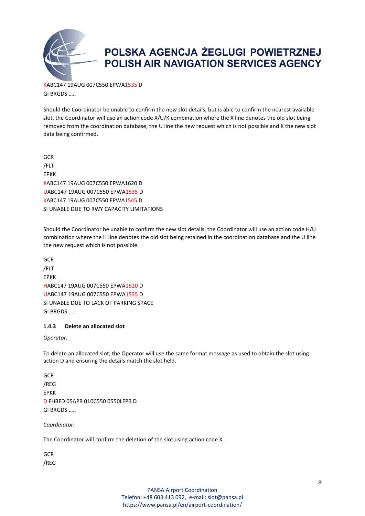

KABC147 19AUG 007C550 EPWA1535 D GI BRGDS …..

Should the Coordinator be unable to confirm the new slot details, but is able to confirm the nearest available slot, the Coordinator will use an action code X/U/K combination where the X line denotes the old slot being removed from the coordination database, the U line the new request which is not possible and K the new slot data being confirmed.

**GCR** /FLT EPKK XABC147 19AUG 007C550 EPWA1620 D UABC147 19AUG 007C550 EPWA1535 D KABC147 19AUG 007C550 EPWA1545 D SI UNABLE DUE TO RWY CAPACITY LIMITATIONS

Should the Coordinator be unable to confirm the new slot details, the Coordinator will use an action code H/U combination where the H line denotes the old slot being retained in the coordination database and the U line the new request which is not possible.

**GCR** /FLT EPKK HABC147 19AUG 007C550 EPWA1620 D UABC147 19AUG 007C550 EPWA1535 D SI UNABLE DUE TO LACK OF PARKING SPACE GI BRGDS …..

#### **1.4.3 Delete an allocated slot**

*Operator:*

To delete an allocated slot, the Operator will use the same format message as used to obtain the slot using action D and ensuring the details match the slot held.

**GCR** /REG EPKK D FHBFD 05APR 010C550 0550LFPB D GI BRGDS …..

*Coordinator:*

The Coordinator will confirm the deletion of the slot using action code X.

**GCR** /REG